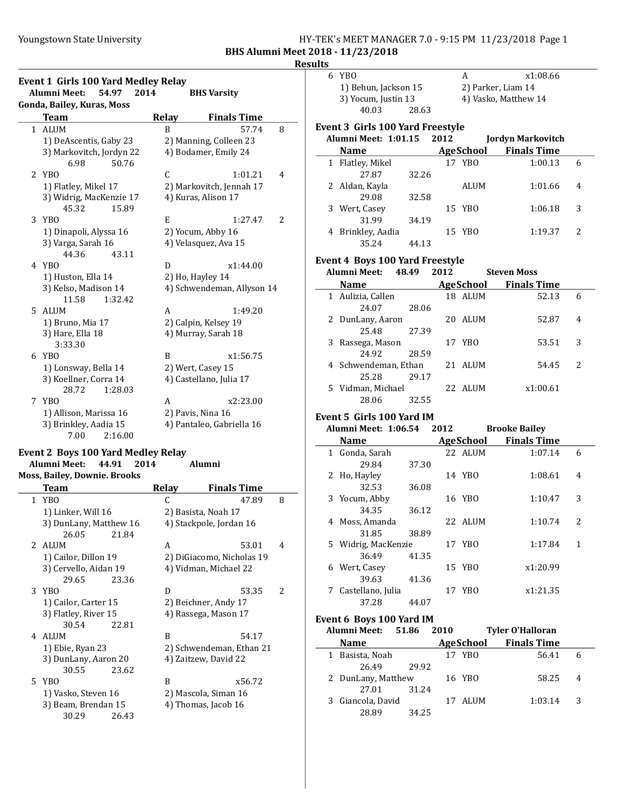## Youngstown State University **HY-TEK's MEET MANAGER 7.0 - 9:15 PM 11/23/2018** Page 1 BHS Alumni Meet 2018 - 11/23/2018

#### Results

|                | <b>Event 1 Girls 100 Yard Medley Relay</b><br><b>Alumni Meet:</b><br>54.97 | 2014         | <b>BHS Varsity</b>         |   |
|----------------|----------------------------------------------------------------------------|--------------|----------------------------|---|
|                | Gonda, Bailey, Kuras, Moss                                                 |              |                            |   |
|                | Team                                                                       | <b>Relay</b> | <b>Finals Time</b>         |   |
| $\mathbf{1}$   | <b>ALUM</b>                                                                | B            | 57.74                      | 8 |
|                | 1) DeAscentis, Gaby 23                                                     |              | 2) Manning, Colleen 23     |   |
|                | 3) Markovitch, Jordyn 22                                                   |              | 4) Bodamer, Emily 24       |   |
|                | 6.98<br>50.76                                                              |              |                            |   |
| $\overline{2}$ | YBO                                                                        | C            | 1:01.21                    | 4 |
|                | 1) Flatley, Mikel 17                                                       |              | 2) Markovitch, Jennah 17   |   |
|                | 3) Widrig, MacKenzie 17                                                    |              | 4) Kuras, Alison 17        |   |
|                | 45.32<br>15.89                                                             |              |                            |   |
|                | 3 YBO                                                                      | E            | 1:27.47                    | 2 |
|                | 1) Dinapoli, Alyssa 16                                                     |              | 2) Yocum, Abby 16          |   |
|                | 3) Varga, Sarah 16                                                         |              | 4) Velasquez, Ava 15       |   |
|                | 44.36<br>43.11                                                             |              |                            |   |
| 4              | YBO                                                                        | D            | x1:44.00                   |   |
|                | 1) Huston, Ella 14                                                         |              | 2) Ho, Hayley 14           |   |
|                | 3) Kelso, Madison 14                                                       |              | 4) Schwendeman, Allyson 14 |   |
|                | 11.58<br>1:32.42                                                           |              |                            |   |
| 5.             | ALUM                                                                       | A            | 1:49.20                    |   |
|                | 1) Bruno, Mia 17                                                           |              | 2) Calpin, Kelsey 19       |   |
|                | 3) Hare, Ella 18                                                           |              | 4) Murray, Sarah 18        |   |
|                | 3:33.30                                                                    |              |                            |   |
|                | 6 YBO                                                                      | B            | x1:56.75                   |   |
|                | 1) Lonsway, Bella 14                                                       |              | 2) Wert, Casey 15          |   |
|                | 3) Koellner, Corra 14                                                      |              | 4) Castellano, Julia 17    |   |
|                | 28.72<br>1:28.03                                                           |              |                            |   |
| 7              | YBO                                                                        | A            | x2:23.00                   |   |
|                | 1) Allison, Marissa 16                                                     |              | 2) Pavis, Nina 16          |   |
|                | 3) Brinkley, Aadia 15                                                      |              | 4) Pantaleo, Gabriella 16  |   |
|                | 7.00<br>2:16.00                                                            |              |                            |   |

#### Event 2 Boys 100 Yard Medley Relay Alumni Meet: 44.91 2014 Moss, Bailey, Downie. Brooks

|   | Team                   | Relay | <b>Finals Time</b>        |   |
|---|------------------------|-------|---------------------------|---|
|   | 1 YBO                  | C     | 47.89                     | 8 |
|   | 1) Linker, Will 16     |       | 2) Basista, Noah 17       |   |
|   | 3) DunLany, Matthew 16 |       | 4) Stackpole, Jordan 16   |   |
|   | 26.05<br>21.84         |       |                           |   |
|   | 2 ALUM                 | A     | 53.01                     | 4 |
|   | 1) Cailor, Dillon 19   |       | 2) DiGiacomo, Nicholas 19 |   |
|   | 3) Cervello, Aidan 19  |       | 4) Vidman, Michael 22     |   |
|   | 29.65<br>23.36         |       |                           |   |
|   | 3 YBO                  | D     | 53.35                     | 2 |
|   | 1) Cailor, Carter 15   |       | 2) Beichner, Andy 17      |   |
|   | 3) Flatley, River 15   |       | 4) Rassega, Mason 17      |   |
|   | 30.54<br>22.81         |       |                           |   |
| 4 | ALUM                   | B     | 54.17                     |   |
|   | 1) Ebie, Ryan 23       |       | 2) Schwendeman, Ethan 21  |   |
|   | 3) DunLany, Aaron 20   |       | 4) Zaitzew, David 22      |   |
|   | 30.55<br>23.62         |       |                           |   |
|   | 5 YBO                  | B     | x56.72                    |   |
|   | 1) Vasko, Steven 16    |       | 2) Mascola, Siman 16      |   |
|   | 3) Beam, Brendan 15    |       | 4) Thomas, Jacob 16       |   |
|   | 30.29<br>26.43         |       |                           |   |

| . . |                                         |       |      |                            |                              |   |
|-----|-----------------------------------------|-------|------|----------------------------|------------------------------|---|
|     | 6 YBO                                   |       |      | A                          | x1:08.66                     |   |
|     | 1) Behun, Jackson 15                    |       |      |                            | 2) Parker, Liam 14           |   |
|     | 3) Yocum, Justin 13                     |       |      |                            | 4) Vasko, Matthew 14         |   |
|     | 40.03                                   | 28.63 |      |                            |                              |   |
|     | <b>Event 3 Girls 100 Yard Freestyle</b> |       |      |                            |                              |   |
|     | Alumni Meet: 1:01.15 2012               |       |      |                            | <b>Jordyn Markovitch</b>     |   |
|     |                                         |       |      |                            | <b>Finals Time</b>           |   |
|     | <b>Name</b>                             |       |      | <b>AgeSchool</b><br>17 YBO |                              |   |
|     | 1 Flatley, Mikel<br>27.87               | 32.26 |      |                            | 1:00.13                      | 6 |
|     |                                         |       |      |                            |                              | 4 |
|     | 2 Aldan, Kayla<br>29.08                 | 32.58 |      | ALUM                       | 1:01.66                      |   |
|     | 3 Wert, Casey                           |       |      | 15 YBO                     | 1:06.18                      | 3 |
|     | 31.99                                   | 34.19 |      |                            |                              |   |
|     | 4 Brinkley, Aadia                       |       |      | 15 YBO                     | 1:19.37                      | 2 |
|     | 35.24                                   | 44.13 |      |                            |                              |   |
|     |                                         |       |      |                            |                              |   |
|     | <b>Event 4 Boys 100 Yard Freestyle</b>  |       |      |                            |                              |   |
|     | Alumni Meet: 48.49 2012                 |       |      |                            | <b>Steven Moss</b>           |   |
|     |                                         |       |      |                            | Name AgeSchool Finals Time   |   |
|     | 1 Aulizia, Callen                       |       |      | 18 ALUM                    | 52.13                        | 6 |
|     | 24.07                                   | 28.06 |      |                            |                              |   |
|     | 2 DunLany, Aaron                        |       |      | 20 ALUM                    | 52.87                        | 4 |
|     | 25.48                                   | 27.39 |      |                            |                              |   |
|     | 3 Rassega, Mason                        |       |      | 17 YBO                     | 53.51                        | 3 |
|     | 24.92                                   | 28.59 |      |                            |                              |   |
|     | 4 Schwendeman, Ethan                    |       |      | 21 ALUM                    | 54.45                        | 2 |
|     | 25.28                                   | 29.17 |      |                            |                              |   |
|     | 5 Vidman, Michael                       |       |      | 22 ALUM                    | x1:00.61                     |   |
|     | 28.06                                   | 32.55 |      |                            |                              |   |
|     | Event 5 Girls 100 Yard IM               |       |      |                            |                              |   |
|     | Alumni Meet: 1:06.54                    |       | 2012 |                            | <b>Brooke Bailey</b>         |   |
|     | Name                                    |       |      |                            | <b>AgeSchool</b> Finals Time |   |
|     | 1 Gonda, Sarah                          |       |      | 22 ALUM                    | 1:07.14                      | 6 |
|     | 29.84                                   | 37.30 |      |                            |                              |   |
|     | 2 Ho, Hayley                            |       |      | 14 YBO                     | 1:08.61                      | 4 |
|     | 32.53                                   | 36.08 |      |                            |                              |   |
|     | 3 Yocum, Abby                           |       |      | 16 YBO                     | 1:10.47                      | 3 |
|     | 34.35                                   | 36.12 |      |                            |                              |   |
|     | 4 Moss, Amanda                          |       |      | 22 ALUM                    | 1:10.74                      | 2 |
|     | 31.85                                   | 38.89 |      |                            |                              |   |
|     | 5 Widrig, MacKenzie                     |       |      | 17 YBO                     | 1:17.84                      | 1 |
|     | 36.49                                   | 41.35 |      |                            |                              |   |
| 6   | Wert, Casey                             |       |      | 15 YBO                     | x1:20.99                     |   |
|     | 39.63                                   | 41.36 |      |                            |                              |   |
|     | 7 Castellano, Julia                     |       |      | 17 YBO                     | x1:21.35                     |   |
|     | 37.28                                   | 44.07 |      |                            |                              |   |
|     | Event 6 Boys 100 Yard IM                |       |      |                            |                              |   |
|     | Alumni Meet: 51.86                      |       | 2010 |                            | <b>Tyler O'Halloran</b>      |   |
|     | <b>Name</b>                             |       |      |                            | <b>AgeSchool</b> Finals Time |   |
|     |                                         |       |      | 17 YBO                     |                              |   |
|     | 1 Basista, Noah<br>26.49                |       |      |                            | 56.41                        | 6 |
| 2   |                                         | 29.92 |      | 16 YBO                     | 58.25                        | 4 |
|     | DunLany, Matthew<br>27.01               | 31.24 |      |                            |                              |   |
| 3   | Giancola, David                         |       |      | 17 ALUM                    | 1:03.14                      | 3 |
|     | 28.89                                   | 34.25 |      |                            |                              |   |
|     |                                         |       |      |                            |                              |   |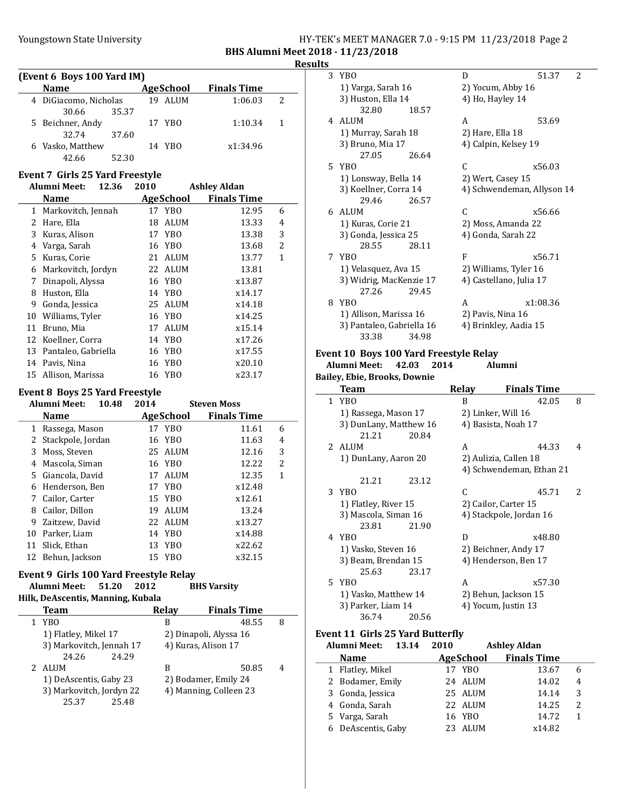## Youngstown State University The HY-TEK's MEET MANAGER 7.0 - 9:15 PM 11/23/2018 Page 2 BHS Alumni Meet 2018 - 11/23/2018

## Results

| (Event 6 Boys 100 Yard IM) |                       |       |  |           |                    |    |  |
|----------------------------|-----------------------|-------|--|-----------|--------------------|----|--|
|                            | <b>Name</b>           |       |  | AgeSchool | <b>Finals Time</b> |    |  |
|                            | 4 DiGiacomo, Nicholas |       |  | 19 ALUM   | 1:06.03            | 2  |  |
|                            | 30.66                 | 35.37 |  |           |                    |    |  |
|                            | 5 Beichner, Andy      |       |  | 17 YBO    | 1:10.34            | -1 |  |
|                            | 32.74                 | 37.60 |  |           |                    |    |  |
|                            | 6 Vasko, Matthew      |       |  | 14 YBO    | x1:34.96           |    |  |
|                            | 42.66                 | 52.30 |  |           |                    |    |  |

## Event 7 Girls 25 Yard Freestyle

#### Alumni Meet: 12.36 2010 Ashley Aldan

|    | <b>Name</b>          | AgeSchool  | <b>Finals Time</b> |                |
|----|----------------------|------------|--------------------|----------------|
|    | 1 Markovitch, Jennah | 17 YBO     | 12.95              | 6              |
| 2  | Hare, Ella           | ALUM<br>18 | 13.33              | 4              |
| 3  | Kuras, Alison        | 17 YBO     | 13.38              | 3              |
| 4  | Varga, Sarah         | 16 YBO     | 13.68              | $\overline{2}$ |
| 5. | Kuras, Corie         | 21 ALUM    | 13.77              | 1              |
| 6  | Markovitch, Jordyn   | 22 ALUM    | 13.81              |                |
| 7  | Dinapoli, Alyssa     | 16 YBO     | x13.87             |                |
| 8  | Huston, Ella         | 14 YBO     | x14.17             |                |
| 9  | Gonda, Jessica       | 25 ALUM    | x14.18             |                |
| 10 | Williams, Tyler      | 16 YBO     | x14.25             |                |
| 11 | Bruno, Mia           | ALUM<br>17 | x15.14             |                |
|    | 12 Koellner, Corra   | 14 YBO     | x17.26             |                |
| 13 | Pantaleo, Gabriella  | 16 YBO     | x17.55             |                |
| 14 | Pavis, Nina          | 16 YBO     | x20.10             |                |
|    | 15 Allison, Marissa  | 16 YBO     | x23.17             |                |

## Event 8 Boys 25 Yard Freestyle

|    | <b>Alumni Meet:</b> | 10.48 | 2014 |           | <b>Steven Moss</b> |                |
|----|---------------------|-------|------|-----------|--------------------|----------------|
|    | <b>Name</b>         |       |      | AgeSchool | <b>Finals Time</b> |                |
| 1  | Rassega, Mason      |       |      | 17 YBO    | 11.61              | 6              |
| 2  | Stackpole, Jordan   |       |      | 16 YBO    | 11.63              | 4              |
| 3  | Moss, Steven        |       |      | 25 ALUM   | 12.16              | 3              |
| 4  | Mascola, Siman      |       |      | 16 YBO    | 12.22              | $\overline{2}$ |
| 5. | Giancola, David     |       |      | 17 ALUM   | 12.35              | 1              |
| 6  | Henderson, Ben      |       |      | 17 YBO    | x12.48             |                |
|    | 7 Cailor, Carter    |       |      | 15 YBO    | x12.61             |                |
| 8  | Cailor, Dillon      |       | 19   | ALUM      | 13.24              |                |
| 9  | Zaitzew, David      |       |      | 22 ALUM   | x13.27             |                |
| 10 | Parker, Liam        |       |      | 14 YBO    | x14.88             |                |
| 11 | Slick, Ethan        |       |      | 13 YBO    | x22.62             |                |
| 12 | Behun, Jackson      |       |      | 15 YBO    | x32.15             |                |

## Event 9 Girls 100 Yard Freestyle Relay Alumni Meet: 51.20 2012 BHS Varsity

## Hilk, DeAscentis, Manning, Kubala

| <b>Team</b>              | <b>Relav</b> | <b>Finals Time</b>     |   |
|--------------------------|--------------|------------------------|---|
| YBO                      | B            | 48.55                  | 8 |
| 1) Flatley, Mikel 17     |              | 2) Dinapoli, Alyssa 16 |   |
| 3) Markovitch, Jennah 17 |              | 4) Kuras, Alison 17    |   |
| 24.26<br>24.29           |              |                        |   |
| 2 ALUM                   | в            | 50.85                  | 4 |
| 1) DeAscentis, Gaby 23   |              | 2) Bodamer, Emily 24   |   |
| 3) Markovitch, Jordyn 22 |              | 4) Manning, Colleen 23 |   |
| 25.48<br>25.37           |              |                        |   |

| 3 | YBO                       |       | D                  | 51.37<br>2                 |
|---|---------------------------|-------|--------------------|----------------------------|
|   | 1) Varga, Sarah 16        |       | 2) Yocum, Abby 16  |                            |
|   | 3) Huston, Ella 14        |       | 4) Ho, Hayley 14   |                            |
|   | 32.80                     | 18.57 |                    |                            |
|   | 4 ALUM                    |       | A                  | 53.69                      |
|   | 1) Murray, Sarah 18       |       | 2) Hare, Ella 18   |                            |
|   | 3) Bruno, Mia 17          |       |                    | 4) Calpin, Kelsey 19       |
|   | 27.05                     | 26.64 |                    |                            |
|   | 5 YBO                     |       | C                  | x56.03                     |
|   | 1) Lonsway, Bella 14      |       | 2) Wert, Casey 15  |                            |
|   | 3) Koellner, Corra 14     |       |                    | 4) Schwendeman, Allyson 14 |
|   | 29.46                     | 26.57 |                    |                            |
|   | 6 ALUM                    |       | C                  | x56.66                     |
|   | 1) Kuras, Corie 21        |       |                    | 2) Moss, Amanda 22         |
|   | 3) Gonda, Jessica 25      |       | 4) Gonda, Sarah 22 |                            |
|   | 28.55                     | 28.11 |                    |                            |
|   | 7 YBO                     |       | F                  | x56.71                     |
|   | 1) Velasquez, Ava 15      |       |                    | 2) Williams, Tyler 16      |
|   | 3) Widrig, MacKenzie 17   |       |                    | 4) Castellano, Julia 17    |
|   | 27.26                     | 29.45 |                    |                            |
| 8 | YBO                       |       | A                  | x1:08.36                   |
|   |                           |       | 2) Pavis, Nina 16  |                            |
|   | 1) Allison, Marissa 16    |       |                    |                            |
|   | 3) Pantaleo, Gabriella 16 |       |                    | 4) Brinkley, Aadia 15      |

### Event 10 Boys 100 Yard Freestyle Relay Alumni Meet: 42.03 2014 Bailey, Ebie, Brooks, Downie

|              | <u>Bancy Bore Brooms</u> Bowme |       |       |                          |                          |
|--------------|--------------------------------|-------|-------|--------------------------|--------------------------|
|              | Team                           |       | Relay | <b>Finals Time</b>       |                          |
| $\mathbf{1}$ | YB <sub>0</sub>                |       | B     | 42.05                    | 8                        |
|              | 1) Rassega, Mason 17           |       |       | 2) Linker, Will 16       |                          |
|              | 3) DunLany, Matthew 16         |       |       | 4) Basista, Noah 17      |                          |
|              | 21.21                          | 20.84 |       |                          |                          |
|              | 2 ALUM                         |       | A     | 44.33                    | 4                        |
|              | 1) DunLany, Aaron 20           |       |       | 2) Aulizia, Callen 18    |                          |
|              |                                |       |       | 4) Schwendeman, Ethan 21 |                          |
|              | 21.21                          | 23.12 |       |                          |                          |
|              | 3 YBO                          |       | C     | 45.71                    | $\overline{\mathcal{L}}$ |
|              | 1) Flatley, River 15           |       |       | 2) Cailor, Carter 15     |                          |
|              | 3) Mascola, Siman 16           |       |       | 4) Stackpole, Jordan 16  |                          |
|              | 23.81                          | 21.90 |       |                          |                          |
|              | 4 YBO                          |       | D     | x48.80                   |                          |
|              | 1) Vasko, Steven 16            |       |       | 2) Beichner, Andy 17     |                          |
|              | 3) Beam, Brendan 15            |       |       | 4) Henderson, Ben 17     |                          |
|              | 25.63                          | 23.17 |       |                          |                          |
|              | 5 YBO                          |       | A     | x57.30                   |                          |
|              | 1) Vasko, Matthew 14           |       |       | 2) Behun, Jackson 15     |                          |
|              | 3) Parker, Liam 14             |       |       | 4) Yocum, Justin 13      |                          |
|              | 36.74                          | 20.56 |       |                          |                          |

## Event 11 Girls 25 Yard Butterfly

| Alumni Meet:       | 13.14 | 2010 |                  | <b>Ashley Aldan</b> |                |
|--------------------|-------|------|------------------|---------------------|----------------|
| <b>Name</b>        |       |      | <b>AgeSchool</b> | <b>Finals Time</b>  |                |
| 1 Flatley, Mikel   |       |      | 17 YBO           | 13.67               | 6              |
| 2 Bodamer, Emily   |       |      | 24 ALUM          | 14.02               | $\overline{4}$ |
| 3 Gonda, Jessica   |       |      | 25 ALUM          | 14.14               | 3              |
| 4 Gonda, Sarah     |       |      | 22 ALUM          | 14.25               | $\mathcal{L}$  |
| 5 Varga, Sarah     |       |      | 16 YBO           | 14.72               | 1              |
| 6 DeAscentis, Gaby |       |      | 23 ALUM          | x14.82              |                |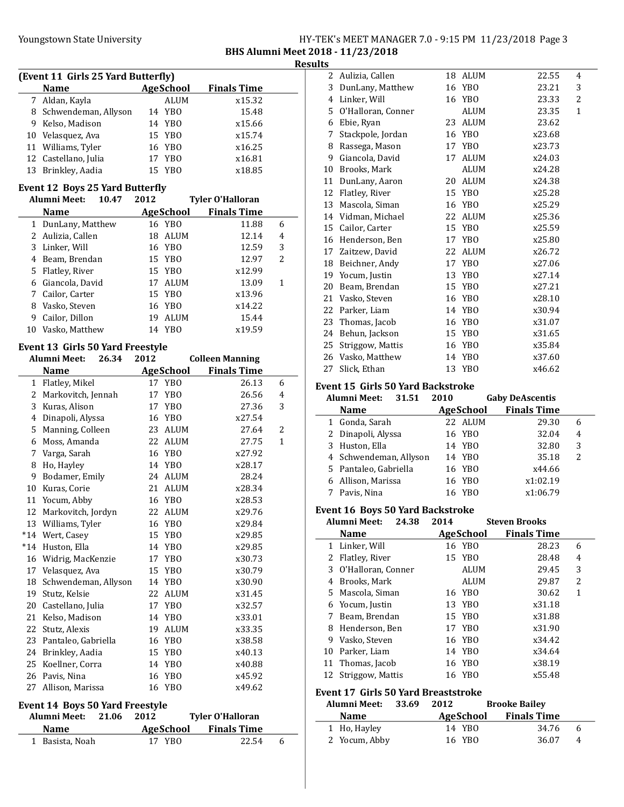## Youngstown State University The HY-TEK's MEET MANAGER 7.0 - 9:15 PM 11/23/2018 Page 3 BHS Alumni Meet 2018 - 11/23/2018

Results

| (Event 11 Girls 25 Yard Butterfly) |                  |                    |  |  |  |  |  |
|------------------------------------|------------------|--------------------|--|--|--|--|--|
| <b>Name</b>                        | <b>AgeSchool</b> | <b>Finals Time</b> |  |  |  |  |  |
| 7 Aldan, Kayla                     | <b>ALUM</b>      | x15.32             |  |  |  |  |  |
| 8 Schwendeman, Allyson             | 14 YBO           | 15.48              |  |  |  |  |  |
| 9 Kelso, Madison                   | 14 YBO           | x15.66             |  |  |  |  |  |
| 10 Velasquez, Ava                  | 15 YBO           | x15.74             |  |  |  |  |  |
| 11 Williams, Tyler                 | 16 YBO           | x16.25             |  |  |  |  |  |
| 12 Castellano, Julia               | 17 YBO           | x16.81             |  |  |  |  |  |
| 13 Brinkley, Aadia                 | 15 YBO           | x18.85             |  |  |  |  |  |

# Event 12 Boys 25 Yard Butterfly

|    | Alumni Meet:      | 10.47 | 2012 |           | <b>Tyler O'Halloran</b> |   |
|----|-------------------|-------|------|-----------|-------------------------|---|
|    | <b>Name</b>       |       |      | AgeSchool | <b>Finals Time</b>      |   |
|    | DunLany, Matthew  |       |      | 16 YBO    | 11.88                   | 6 |
|    | 2 Aulizia, Callen |       | 18   | ALUM      | 12.14                   | 4 |
| 3  | Linker, Will      |       |      | 16 YBO    | 12.59                   | 3 |
| 4  | Beam, Brendan     |       |      | 15 YBO    | 12.97                   | 2 |
| 5. | Flatley, River    |       |      | 15 YBO    | x12.99                  |   |
| 6  | Giancola, David   |       | 17   | ALUM      | 13.09                   | 1 |
| 7  | Cailor, Carter    |       |      | 15 YBO    | x13.96                  |   |
| 8  | Vasko, Steven     |       |      | 16 YBO    | x14.22                  |   |
| 9  | Cailor, Dillon    |       | 19   | ALUM      | 15.44                   |   |
|    | Vasko, Matthew    |       | 14   | YBO       | x19.59                  |   |

## Event 13 Girls 50 Yard Freestyle

|             | <b>Alumni Meet:</b>                    | 26.34 | 2012      | <b>Colleen Manning</b> |                         |              |
|-------------|----------------------------------------|-------|-----------|------------------------|-------------------------|--------------|
| <b>Name</b> |                                        |       | AgeSchool | <b>Finals Time</b>     |                         |              |
| 1           | Flatley, Mikel                         |       |           | 17 YBO                 | 26.13                   | 6            |
| 2           | Markovitch, Jennah                     |       | 17        | YB <sub>0</sub>        | 26.56                   | 4            |
| 3           | Kuras, Alison                          |       |           | 17 YBO                 | 27.36                   | 3            |
| 4           | Dinapoli, Alyssa                       |       | 16        | YB <sub>0</sub>        | x27.54                  |              |
| 5           | Manning, Colleen                       |       | 23        | <b>ALUM</b>            | 27.64                   | 2            |
| 6           | Moss, Amanda                           |       | 22        | <b>ALUM</b>            | 27.75                   | $\mathbf{1}$ |
| 7           | Varga, Sarah                           |       | 16        | <b>YBO</b>             | x27.92                  |              |
| 8           | Ho, Hayley                             |       |           | 14 YBO                 | x28.17                  |              |
| 9           | Bodamer, Emily                         |       |           | 24 ALUM                | 28.24                   |              |
| 10          | Kuras, Corie                           |       | 21        | <b>ALUM</b>            | x28.34                  |              |
| 11          | Yocum, Abby                            |       | 16        | YB <sub>0</sub>        | x28.53                  |              |
| 12          | Markovitch, Jordyn                     |       | 22        | <b>ALUM</b>            | x29.76                  |              |
| 13          | Williams, Tyler                        |       |           | 16 YBO                 | x29.84                  |              |
| $*14$       | Wert, Casey                            |       | 15        | YB <sub>0</sub>        | x29.85                  |              |
| $*14$       | Huston, Ella                           |       | 14        | YB <sub>0</sub>        | x29.85                  |              |
| 16          | Widrig, MacKenzie                      |       | 17        | YB <sub>0</sub>        | x30.73                  |              |
| 17          | Velasquez, Ava                         |       | 15        | YB <sub>0</sub>        | x30.79                  |              |
| 18          | Schwendeman, Allyson                   |       |           | 14 YBO                 | x30.90                  |              |
| 19          | Stutz, Kelsie                          |       | 22        | <b>ALUM</b>            | x31.45                  |              |
| 20          | Castellano, Julia                      |       | 17        | YB <sub>0</sub>        | x32.57                  |              |
| 21          | Kelso, Madison                         |       |           | 14 YBO                 | x33.01                  |              |
| 22          | Stutz, Alexis                          |       | 19        | <b>ALUM</b>            | x33.35                  |              |
| 23          | Pantaleo, Gabriella                    |       |           | 16 YBO                 | x38.58                  |              |
| 24          | Brinkley, Aadia                        |       | 15        | YB <sub>0</sub>        | x40.13                  |              |
| 25          | Koellner, Corra                        |       | 14        | YB <sub>0</sub>        | x40.88                  |              |
| 26          | Pavis, Nina                            |       | 16        | YB <sub>0</sub>        | x45.92                  |              |
| 27          | Allison, Marissa                       |       |           | 16 YBO                 | x49.62                  |              |
|             | <b>Event 14 Boys 50 Yard Freestyle</b> |       |           |                        |                         |              |
|             | <b>Alumni Meet:</b>                    | 21.06 | 2012      |                        | <b>Tyler O'Halloran</b> |              |
|             | <b>Name</b>                            |       |           | <b>AgeSchool</b>       | <b>Finals Time</b>      |              |
|             | 1 Basista, Noah                        |       |           | 17 YBO                 | 22.54                   | 6            |
|             |                                        |       |           |                        |                         |              |

|    | <b>Name</b>                              |      | AgeSchool       | <b>Finals Time</b>     |              |  |  |
|----|------------------------------------------|------|-----------------|------------------------|--------------|--|--|
|    | <b>Alumni Meet:</b><br>31.51             | 2010 |                 | <b>Gaby DeAscentis</b> |              |  |  |
|    | <b>Event 15 Girls 50 Yard Backstroke</b> |      |                 |                        |              |  |  |
| 27 | Slick, Ethan                             | 13   | YBO             | x46.62                 |              |  |  |
|    | 26 Vasko, Matthew                        | 14   | YBO             | x37.60                 |              |  |  |
|    | 25 Striggow, Mattis                      | 16   | <b>YBO</b>      | x35.84                 |              |  |  |
| 24 | Behun, Jackson                           |      | 15 YBO          | x31.65                 |              |  |  |
| 23 | Thomas, Jacob                            | 16   | YB <sub>0</sub> | x31.07                 |              |  |  |
|    | 22 Parker, Liam                          | 14   | YBO             | x30.94                 |              |  |  |
|    | 21 Vasko, Steven                         | 16   | YBO             | x28.10                 |              |  |  |
| 20 | Beam, Brendan                            |      | 15 YBO          | x27.21                 |              |  |  |
| 19 | Yocum, Justin                            | 13   | YB <sub>0</sub> | x27.14                 |              |  |  |
| 18 | Beichner, Andy                           | 17   | YBO             | x27.06                 |              |  |  |
|    | 17 Zaitzew, David                        | 22   | ALUM            | x26.72                 |              |  |  |
|    | 16 Henderson, Ben                        | 17   | YB <sub>0</sub> | x25.80                 |              |  |  |
| 15 | Cailor, Carter                           | 15   | YB <sub>0</sub> | x25.59                 |              |  |  |
|    | 14 Vidman, Michael                       | 22   | ALUM            | x25.36                 |              |  |  |
| 13 | Mascola, Siman                           | 16   | <b>YBO</b>      | x25.29                 |              |  |  |
| 12 | Flatley, River                           |      | 15 YBO          | x25.28                 |              |  |  |
| 11 | DunLany, Aaron                           | 20   | <b>ALUM</b>     | x24.38                 |              |  |  |
| 10 | Brooks, Mark                             |      | ALUM            | x24.28                 |              |  |  |
| 9  | Giancola, David                          | 17   | ALUM            | x24.03                 |              |  |  |
| 8  | Rassega, Mason                           | 17   | YB <sub>0</sub> | x23.73                 |              |  |  |
| 7  | Stackpole, Jordan                        | 16   | YB <sub>0</sub> | x23.68                 |              |  |  |
| 6  | Ebie, Ryan                               | 23   | ALUM            | 23.62                  |              |  |  |
|    | 5 O'Halloran, Conner                     |      | <b>ALUM</b>     | 23.35                  | $\mathbf{1}$ |  |  |
| 4  | Linker, Will                             | 16   | YBO             | 23.33                  | 2            |  |  |
| 3  | DunLany, Matthew                         | 16   | <b>YBO</b>      | 23.21                  | 3            |  |  |
| 2  | Aulizia, Callen                          | 18   | ALUM            | 22.55                  | 4            |  |  |

| <b>Name</b>            | <b>AgeSchool</b>      | <b>Finals Time</b> |   |
|------------------------|-----------------------|--------------------|---|
| 1 Gonda, Sarah         | 22 ALUM               | 29.30              | 6 |
| 2 Dinapoli, Alyssa     | 16 YBO                | 32.04              | 4 |
| 3 Huston, Ella         | 14 YBO                | 32.80              | 3 |
| 4 Schwendeman, Allyson | 14 YBO                | 35.18              | 2 |
| 5 Pantaleo, Gabriella  | 16 YBO                | x44.66             |   |
| 6 Allison, Marissa     | 16 YBO                | x1:02.19           |   |
| Pavis, Nina            | YR <sub>0</sub><br>16 | x1:06.79           |   |

## Event 16 Boys 50 Yard Backstroke

|                                       | Alumni Meet:         | 24.38 | 2014 | <b>Steven Brooks</b> |                    |   |  |
|---------------------------------------|----------------------|-------|------|----------------------|--------------------|---|--|
|                                       | <b>Name</b>          |       |      | AgeSchool            | <b>Finals Time</b> |   |  |
|                                       | 1 Linker, Will       |       |      | 16 YBO               | 28.23              | 6 |  |
| 2                                     | Flatley, River       |       |      | 15 YBO               | 28.48              | 4 |  |
|                                       | 3 O'Halloran, Conner |       |      | ALUM                 | 29.45              | 3 |  |
| 4                                     | Brooks, Mark         |       |      | ALUM                 | 29.87              | 2 |  |
|                                       | 5 Mascola, Siman     |       |      | 16 YBO               | 30.62              | 1 |  |
|                                       | 6 Yocum, Justin      |       |      | 13 YBO               | x31.18             |   |  |
| 7                                     | Beam, Brendan        |       |      | 15 YBO               | x31.88             |   |  |
| 8                                     | Henderson, Ben       |       |      | 17 YBO               | x31.90             |   |  |
| 9                                     | Vasko, Steven        |       |      | 16 YBO               | x34.42             |   |  |
|                                       | 10 Parker, Liam      |       |      | 14 YBO               | x34.64             |   |  |
|                                       | 11 Thomas, Jacob     |       |      | 16 YBO               | x38.19             |   |  |
|                                       | 12 Striggow, Mattis  |       |      | 16 YBO               | x55.48             |   |  |
| Event 17, Cirls E0 Vard Presetstrelse |                      |       |      |                      |                    |   |  |

## Event 17 Girls 50 Yard Breaststroke

| Alumni Meet:  | 33.69 | 2012      | <b>Brooke Bailey</b> |              |  |
|---------------|-------|-----------|----------------------|--------------|--|
| <b>Name</b>   |       | AgeSchool | <b>Finals Time</b>   |              |  |
| 1 Ho, Hayley  |       | 14 YBO    | 34.76                | $\mathsf{h}$ |  |
| 2 Yocum, Abby |       | 16 YBO    | 36.07                | 4            |  |